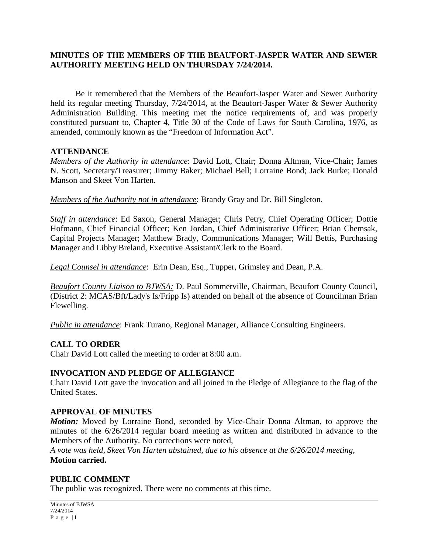#### **MINUTES OF THE MEMBERS OF THE BEAUFORT-JASPER WATER AND SEWER AUTHORITY MEETING HELD ON THURSDAY 7/24/2014.**

Be it remembered that the Members of the Beaufort-Jasper Water and Sewer Authority held its regular meeting Thursday, 7/24/2014, at the Beaufort-Jasper Water & Sewer Authority Administration Building. This meeting met the notice requirements of, and was properly constituted pursuant to, Chapter 4, Title 30 of the Code of Laws for South Carolina, 1976, as amended, commonly known as the "Freedom of Information Act".

#### **ATTENDANCE**

*Members of the Authority in attendance*: David Lott, Chair; Donna Altman, Vice-Chair; James N. Scott, Secretary/Treasurer; Jimmy Baker; Michael Bell; Lorraine Bond; Jack Burke; Donald Manson and Skeet Von Harten.

*Members of the Authority not in attendance*: Brandy Gray and Dr. Bill Singleton.

*Staff in attendance*: Ed Saxon, General Manager; Chris Petry, Chief Operating Officer; Dottie Hofmann, Chief Financial Officer; Ken Jordan, Chief Administrative Officer; Brian Chemsak, Capital Projects Manager; Matthew Brady, Communications Manager; Will Bettis, Purchasing Manager and Libby Breland, Executive Assistant/Clerk to the Board.

*Legal Counsel in attendance*: Erin Dean, Esq., Tupper, Grimsley and Dean, P.A.

*Beaufort County Liaison to BJWSA:* D. Paul Sommerville, Chairman, Beaufort County Council, (District 2: MCAS/Bft/Lady's Is/Fripp Is) attended on behalf of the absence of Councilman Brian Flewelling.

*Public in attendance*: Frank Turano, Regional Manager, Alliance Consulting Engineers.

#### **CALL TO ORDER**

Chair David Lott called the meeting to order at 8:00 a.m.

#### **INVOCATION AND PLEDGE OF ALLEGIANCE**

Chair David Lott gave the invocation and all joined in the Pledge of Allegiance to the flag of the United States.

#### **APPROVAL OF MINUTES**

*Motion:* Moved by Lorraine Bond, seconded by Vice-Chair Donna Altman, to approve the minutes of the 6/26/2014 regular board meeting as written and distributed in advance to the Members of the Authority. No corrections were noted,

*A vote was held, Skeet Von Harten abstained, due to his absence at the 6/26/2014 meeting,*  **Motion carried.**

#### **PUBLIC COMMENT**

The public was recognized. There were no comments at this time.

Minutes of BJWSA 7/24/2014 **Page | 1**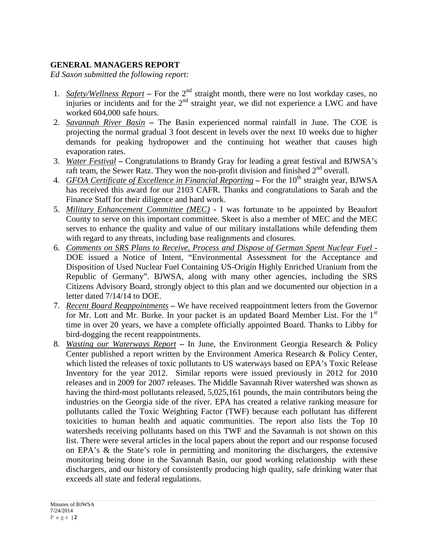## **GENERAL MANAGERS REPORT**

*Ed Saxon submitted the following report:*

- 1. *Safety/Wellness Report* For the 2<sup>nd</sup> straight month, there were no lost workday cases, no injuries or incidents and for the  $2<sup>nd</sup>$  straight year, we did not experience a LWC and have worked 604,000 safe hours.
- 2. *Savannah River Basin* **–** The Basin experienced normal rainfall in June. The COE is projecting the normal gradual 3 foot descent in levels over the next 10 weeks due to higher demands for peaking hydropower and the continuing hot weather that causes high evaporation rates.
- 3. *Water Festival* **–** Congratulations to Brandy Gray for leading a great festival and BJWSA's raft team, the Sewer Ratz. They won the non-profit division and finished  $2<sup>nd</sup>$  overall.
- 4. *GFOA Certificate of Excellence in Financial Reporting* For the 10<sup>th</sup> straight year, BJWSA has received this award for our 2103 CAFR. Thanks and congratulations to Sarah and the Finance Staff for their diligence and hard work.
- 5. *Military Enhancement Committee (MEC)* **-** I was fortunate to be appointed by Beaufort County to serve on this important committee. Skeet is also a member of MEC and the MEC serves to enhance the quality and value of our military installations while defending them with regard to any threats, including base realignments and closures.
- 6. *Comments on SRS Plans to Receive, Process and Dispose of German Spent Nuclear Fuel -* DOE issued a Notice of Intent, "Environmental Assessment for the Acceptance and Disposition of Used Nuclear Fuel Containing US-Origin Highly Enriched Uranium from the Republic of Germany". BJWSA, along with many other agencies, including the SRS Citizens Advisory Board, strongly object to this plan and we documented our objection in a letter dated 7/14/14 to DOE.
- 7. *Recent Board Reappointments* **–** We have received reappointment letters from the Governor for Mr. Lott and Mr. Burke. In your packet is an updated Board Member List. For the 1<sup>st</sup> time in over 20 years, we have a complete officially appointed Board. Thanks to Libby for bird-dogging the recent reappointments.
- 8. *Wasting our Waterways Report* **–** In June, the Environment Georgia Research & Policy Center published a report written by the Environment America Research & Policy Center, which listed the releases of toxic pollutants to US waterways based on EPA's Toxic Release Inventory for the year 2012. Similar reports were issued previously in 2012 for 2010 releases and in 2009 for 2007 releases. The Middle Savannah River watershed was shown as having the third-most pollutants released, 5,025,161 pounds, the main contributors being the industries on the Georgia side of the river. EPA has created a relative ranking measure for pollutants called the Toxic Weighting Factor (TWF) because each pollutant has different toxicities to human health and aquatic communities. The report also lists the Top 10 watersheds receiving pollutants based on this TWF and the Savannah is not shown on this list. There were several articles in the local papers about the report and our response focused on EPA's & the State's role in permitting and monitoring the dischargers, the extensive monitoring being done in the Savannah Basin, our good working relationship with these dischargers, and our history of consistently producing high quality, safe drinking water that exceeds all state and federal regulations.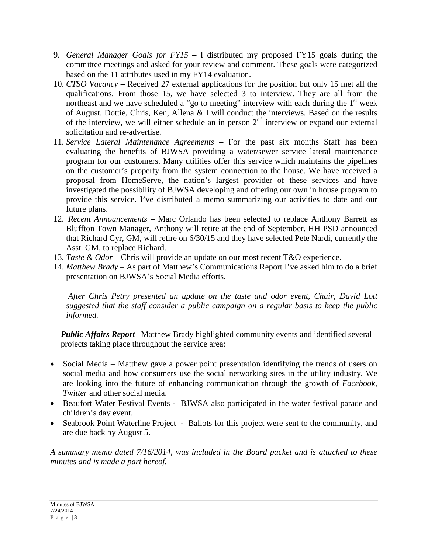- 9. *General Manager Goals for FY15* **–** I distributed my proposed FY15 goals during the committee meetings and asked for your review and comment. These goals were categorized based on the 11 attributes used in my FY14 evaluation.
- 10. *CTSO Vacancy* **–** Received 27 external applications for the position but only 15 met all the qualifications. From those 15, we have selected 3 to interview. They are all from the northeast and we have scheduled a "go to meeting" interview with each during the  $1<sup>st</sup>$  week of August. Dottie, Chris, Ken, Allena & I will conduct the interviews. Based on the results of the interview, we will either schedule an in person  $2<sup>nd</sup>$  interview or expand our external solicitation and re-advertise.
- 11. *Service Lateral Maintenance Agreements* **–** For the past six months Staff has been evaluating the benefits of BJWSA providing a water/sewer service lateral maintenance program for our customers. Many utilities offer this service which maintains the pipelines on the customer's property from the system connection to the house. We have received a proposal from HomeServe, the nation's largest provider of these services and have investigated the possibility of BJWSA developing and offering our own in house program to provide this service. I've distributed a memo summarizing our activities to date and our future plans.
- 12. *Recent Announcements* **–** Marc Orlando has been selected to replace Anthony Barrett as Bluffton Town Manager, Anthony will retire at the end of September. HH PSD announced that Richard Cyr, GM, will retire on 6/30/15 and they have selected Pete Nardi, currently the Asst. GM, to replace Richard.
- 13. *Taste & Odor* Chris will provide an update on our most recent T&O experience.
- 14. *Matthew Brady* As part of Matthew's Communications Report I've asked him to do a brief presentation on BJWSA's Social Media efforts.

*After Chris Petry presented an update on the taste and odor event, Chair, David Lott suggested that the staff consider a public campaign on a regular basis to keep the public informed.*

 *Public Affairs Report* Matthew Brady highlighted community events and identified several projects taking place throughout the service area:

- Social Media Matthew gave a power point presentation identifying the trends of users on social media and how consumers use the social networking sites in the utility industry. We are looking into the future of enhancing communication through the growth of *Facebook*, *Twitter* and other social media.
- Beaufort Water Festival Events BJWSA also participated in the water festival parade and children's day event.
- Seabrook Point Waterline Project Ballots for this project were sent to the community, and are due back by August 5.

*A summary memo dated 7/16/2014, was included in the Board packet and is attached to these minutes and is made a part hereof.*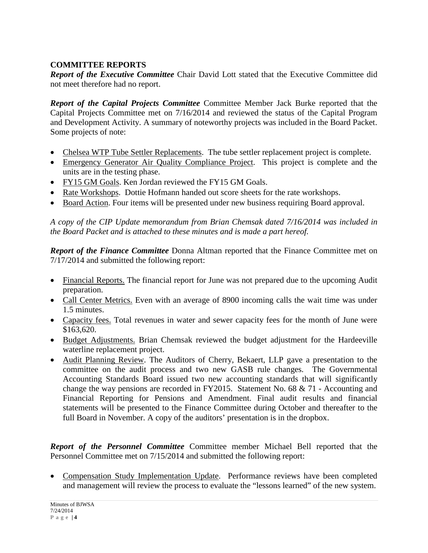# **COMMITTEE REPORTS**

*Report of the Executive Committee* Chair David Lott stated that the Executive Committee did not meet therefore had no report.

*Report of the Capital Projects Committee* Committee Member Jack Burke reported that the Capital Projects Committee met on 7/16/2014 and reviewed the status of the Capital Program and Development Activity. A summary of noteworthy projects was included in the Board Packet. Some projects of note:

- Chelsea WTP Tube Settler Replacements. The tube settler replacement project is complete.
- Emergency Generator Air Quality Compliance Project. This project is complete and the units are in the testing phase.
- FY15 GM Goals. Ken Jordan reviewed the FY15 GM Goals.
- Rate Workshops. Dottie Hofmann handed out score sheets for the rate workshops.
- Board Action. Four items will be presented under new business requiring Board approval.

*A copy of the CIP Update memorandum from Brian Chemsak dated 7/16/2014 was included in the Board Packet and is attached to these minutes and is made a part hereof.*

*Report of the Finance Committee* Donna Altman reported that the Finance Committee met on 7/17/2014 and submitted the following report:

- Financial Reports. The financial report for June was not prepared due to the upcoming Audit preparation.
- Call Center Metrics. Even with an average of 8900 incoming calls the wait time was under 1.5 minutes.
- Capacity fees. Total revenues in water and sewer capacity fees for the month of June were \$163,620.
- Budget Adjustments. Brian Chemsak reviewed the budget adjustment for the Hardeeville waterline replacement project.
- Audit Planning Review. The Auditors of Cherry, Bekaert, LLP gave a presentation to the committee on the audit process and two new GASB rule changes. The Governmental Accounting Standards Board issued two new accounting standards that will significantly change the way pensions are recorded in FY2015. Statement No. 68 & 71 - Accounting and Financial Reporting for Pensions and Amendment. Final audit results and financial statements will be presented to the Finance Committee during October and thereafter to the full Board in November. A copy of the auditors' presentation is in the dropbox.

*Report of the Personnel Committee* Committee member Michael Bell reported that the Personnel Committee met on 7/15/2014 and submitted the following report:

• Compensation Study Implementation Update. Performance reviews have been completed and management will review the process to evaluate the "lessons learned" of the new system.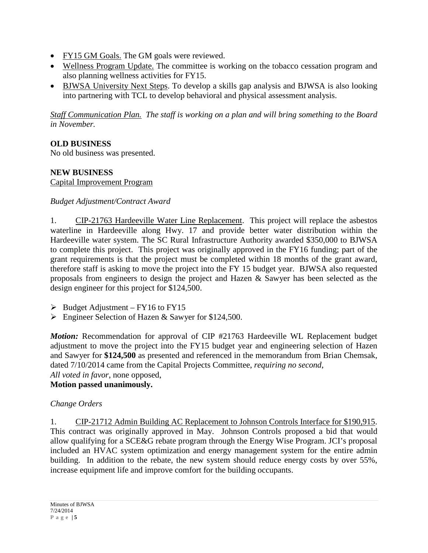- FY15 GM Goals. The GM goals were reviewed.
- Wellness Program Update. The committee is working on the tobacco cessation program and also planning wellness activities for FY15.
- BJWSA University Next Steps. To develop a skills gap analysis and BJWSA is also looking into partnering with TCL to develop behavioral and physical assessment analysis.

*Staff Communication Plan. The staff is working on a plan and will bring something to the Board in November.*

# **OLD BUSINESS**

No old business was presented.

# **NEW BUSINESS**

Capital Improvement Program

#### *Budget Adjustment/Contract Award*

1. CIP-21763 Hardeeville Water Line Replacement. This project will replace the asbestos waterline in Hardeeville along Hwy. 17 and provide better water distribution within the Hardeeville water system. The SC Rural Infrastructure Authority awarded \$350,000 to BJWSA to complete this project. This project was originally approved in the FY16 funding; part of the grant requirements is that the project must be completed within 18 months of the grant award, therefore staff is asking to move the project into the FY 15 budget year. BJWSA also requested proposals from engineers to design the project and Hazen & Sawyer has been selected as the design engineer for this project for \$124,500.

- $\triangleright$  Budget Adjustment FY16 to FY15
- Engineer Selection of Hazen & Sawyer for \$124,500.

*Motion:* Recommendation for approval of CIP #21763 Hardeeville WL Replacement budget adjustment to move the project into the FY15 budget year and engineering selection of Hazen and Sawyer for **\$124,500** as presented and referenced in the memorandum from Brian Chemsak, dated 7/10/2014 came from the Capital Projects Committee, *requiring no second*, *All voted in favor*, none opposed,

#### **Motion passed unanimously.**

#### *Change Orders*

1. CIP-21712 Admin Building AC Replacement to Johnson Controls Interface for \$190,915. This contract was originally approved in May. Johnson Controls proposed a bid that would allow qualifying for a SCE&G rebate program through the Energy Wise Program. JCI's proposal included an HVAC system optimization and energy management system for the entire admin building. In addition to the rebate, the new system should reduce energy costs by over 55%, increase equipment life and improve comfort for the building occupants.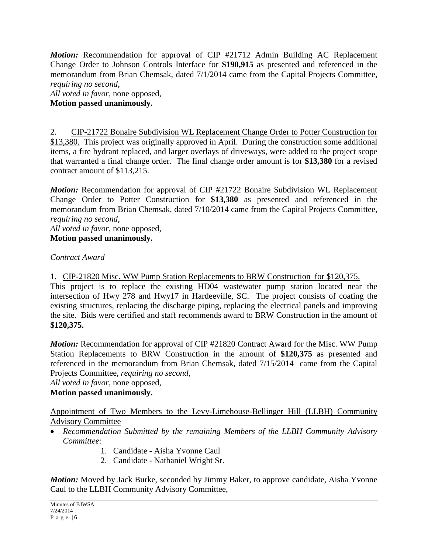*Motion:* Recommendation for approval of CIP #21712 Admin Building AC Replacement Change Order to Johnson Controls Interface for **\$190,915** as presented and referenced in the memorandum from Brian Chemsak, dated 7/1/2014 came from the Capital Projects Committee, *requiring no second*,

# *All voted in favor*, none opposed,

**Motion passed unanimously.**

2. CIP-21722 Bonaire Subdivision WL Replacement Change Order to Potter Construction for \$13,380. This project was originally approved in April. During the construction some additional items, a fire hydrant replaced, and larger overlays of driveways, were added to the project scope that warranted a final change order. The final change order amount is for **\$13,380** for a revised contract amount of \$113,215.

*Motion:* Recommendation for approval of CIP #21722 Bonaire Subdivision WL Replacement Change Order to Potter Construction for **\$13,380** as presented and referenced in the memorandum from Brian Chemsak, dated 7/10/2014 came from the Capital Projects Committee, *requiring no second*,

*All voted in favor*, none opposed, **Motion passed unanimously.**

*Contract Award*

1. CIP-21820 Misc. WW Pump Station Replacements to BRW Construction for \$120,375.

This project is to replace the existing HD04 wastewater pump station located near the intersection of Hwy 278 and Hwy17 in Hardeeville, SC. The project consists of coating the existing structures, replacing the discharge piping, replacing the electrical panels and improving the site. Bids were certified and staff recommends award to BRW Construction in the amount of **\$120,375.**

*Motion:* Recommendation for approval of CIP #21820 Contract Award for the Misc. WW Pump Station Replacements to BRW Construction in the amount of **\$120,375** as presented and referenced in the memorandum from Brian Chemsak, dated 7/15/2014 came from the Capital Projects Committee, *requiring no second*,

*All voted in favor*, none opposed,

# **Motion passed unanimously.**

#### Appointment of Two Members to the Levy-Limehouse-Bellinger Hill (LLBH) Community Advisory Committee

- *Recommendation Submitted by the remaining Members of the LLBH Community Advisory Committee:* 
	- 1.Candidate Aisha Yvonne Caul
	- 2. Candidate Nathaniel Wright Sr.

*Motion:* Moved by Jack Burke, seconded by Jimmy Baker, to approve candidate, Aisha Yvonne Caul to the LLBH Community Advisory Committee,